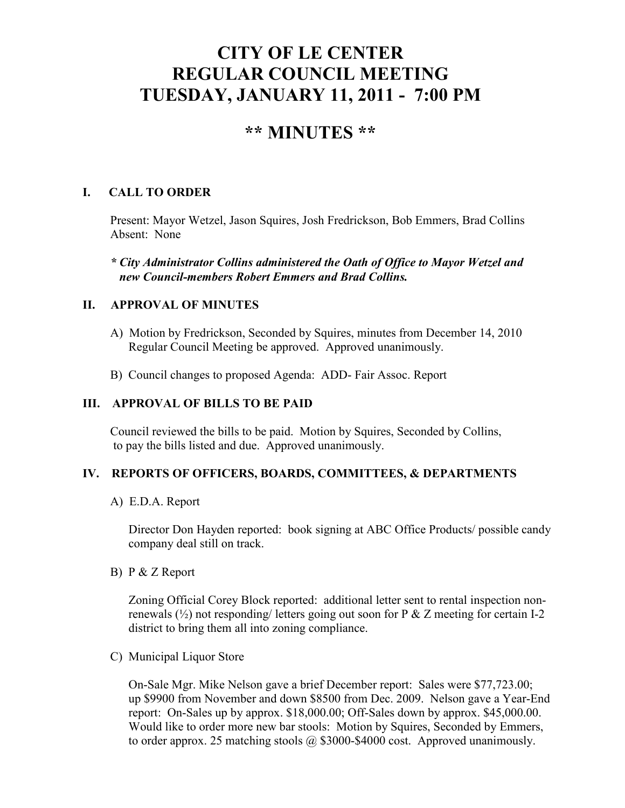# **CITY OF LE CENTER REGULAR COUNCIL MEETING TUESDAY, JANUARY 11, 2011 - 7:00 PM**

# **\*\* MINUTES \*\***

### **I. CALL TO ORDER**

Present: Mayor Wetzel, Jason Squires, Josh Fredrickson, Bob Emmers, Brad Collins Absent: None

*\* City Administrator Collins administered the Oath of Office to Mayor Wetzel and new Council-members Robert Emmers and Brad Collins.* 

#### **II. APPROVAL OF MINUTES**

- A) Motion by Fredrickson, Seconded by Squires, minutes from December 14, 2010 Regular Council Meeting be approved. Approved unanimously.
- B) Council changes to proposed Agenda: ADD- Fair Assoc. Report

#### **III. APPROVAL OF BILLS TO BE PAID**

Council reviewed the bills to be paid. Motion by Squires, Seconded by Collins, to pay the bills listed and due. Approved unanimously.

#### **IV. REPORTS OF OFFICERS, BOARDS, COMMITTEES, & DEPARTMENTS**

A) E.D.A. Report

 Director Don Hayden reported: book signing at ABC Office Products/ possible candy company deal still on track.

B) P & Z Report

 Zoning Official Corey Block reported: additional letter sent to rental inspection non renewals  $\binom{1}{2}$  not responding/ letters going out soon for P & Z meeting for certain I-2 district to bring them all into zoning compliance.

C) Municipal Liquor Store

On-Sale Mgr. Mike Nelson gave a brief December report: Sales were \$77,723.00; up \$9900 from November and down \$8500 from Dec. 2009. Nelson gave a Year-End report: On-Sales up by approx. \$18,000.00; Off-Sales down by approx. \$45,000.00. Would like to order more new bar stools: Motion by Squires, Seconded by Emmers, to order approx. 25 matching stools  $\omega$ , \$3000-\$4000 cost. Approved unanimously.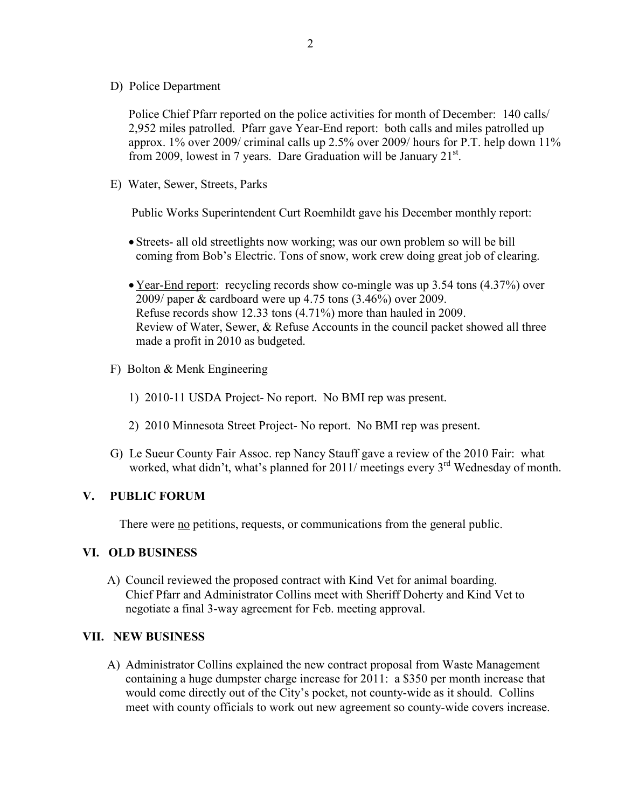D) Police Department

Police Chief Pfarr reported on the police activities for month of December: 140 calls/ 2,952 miles patrolled. Pfarr gave Year-End report: both calls and miles patrolled up approx. 1% over 2009/ criminal calls up 2.5% over 2009/ hours for P.T. help down 11% from 2009, lowest in 7 years. Dare Graduation will be January 21<sup>st</sup>.

E) Water, Sewer, Streets, Parks

Public Works Superintendent Curt Roemhildt gave his December monthly report:

- Streets- all old streetlights now working; was our own problem so will be bill coming from Bob's Electric. Tons of snow, work crew doing great job of clearing.
- Year-End report: recycling records show co-mingle was up 3.54 tons (4.37%) over 2009/ paper & cardboard were up 4.75 tons (3.46%) over 2009. Refuse records show 12.33 tons (4.71%) more than hauled in 2009. Review of Water, Sewer, & Refuse Accounts in the council packet showed all three made a profit in 2010 as budgeted.
- F) Bolton & Menk Engineering
	- 1) 2010-11 USDA Project- No report. No BMI rep was present.
	- 2) 2010 Minnesota Street Project- No report. No BMI rep was present.
- G) Le Sueur County Fair Assoc. rep Nancy Stauff gave a review of the 2010 Fair: what worked, what didn't, what's planned for 2011/ meetings every 3<sup>rd</sup> Wednesday of month.

### **V. PUBLIC FORUM**

There were no petitions, requests, or communications from the general public.

#### **VI. OLD BUSINESS**

A) Council reviewed the proposed contract with Kind Vet for animal boarding. Chief Pfarr and Administrator Collins meet with Sheriff Doherty and Kind Vet to negotiate a final 3-way agreement for Feb. meeting approval.

#### **VII. NEW BUSINESS**

A) Administrator Collins explained the new contract proposal from Waste Management containing a huge dumpster charge increase for 2011: a \$350 per month increase that would come directly out of the City's pocket, not county-wide as it should. Collins meet with county officials to work out new agreement so county-wide covers increase.